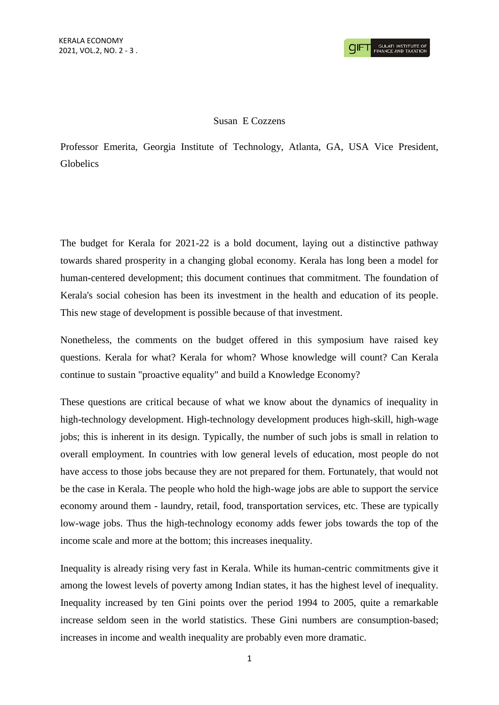## Susan E Cozzens

Professor Emerita, Georgia Institute of Technology, Atlanta, GA, USA Vice President, Globelics

The budget for Kerala for 2021-22 is a bold document, laying out a distinctive pathway towards shared prosperity in a changing global economy. Kerala has long been a model for human-centered development; this document continues that commitment. The foundation of Kerala's social cohesion has been its investment in the health and education of its people. This new stage of development is possible because of that investment.

Nonetheless, the comments on the budget offered in this symposium have raised key questions. Kerala for what? Kerala for whom? Whose knowledge will count? Can Kerala continue to sustain "proactive equality" and build a Knowledge Economy?

These questions are critical because of what we know about the dynamics of inequality in high-technology development. High-technology development produces high-skill, high-wage jobs; this is inherent in its design. Typically, the number of such jobs is small in relation to overall employment. In countries with low general levels of education, most people do not have access to those jobs because they are not prepared for them. Fortunately, that would not be the case in Kerala. The people who hold the high-wage jobs are able to support the service economy around them - laundry, retail, food, transportation services, etc. These are typically low-wage jobs. Thus the high-technology economy adds fewer jobs towards the top of the income scale and more at the bottom; this increases inequality.

Inequality is already rising very fast in Kerala. While its human-centric commitments give it among the lowest levels of poverty among Indian states, it has the highest level of inequality. Inequality increased by ten Gini points over the period 1994 to 2005, quite a remarkable increase seldom seen in the world statistics. These Gini numbers are consumption-based; increases in income and wealth inequality are probably even more dramatic.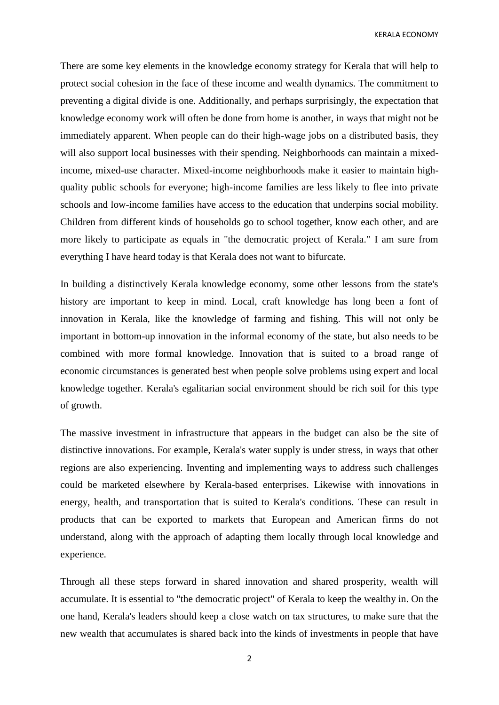KERALA ECONOMY

There are some key elements in the knowledge economy strategy for Kerala that will help to protect social cohesion in the face of these income and wealth dynamics. The commitment to preventing a digital divide is one. Additionally, and perhaps surprisingly, the expectation that knowledge economy work will often be done from home is another, in ways that might not be immediately apparent. When people can do their high-wage jobs on a distributed basis, they will also support local businesses with their spending. Neighborhoods can maintain a mixedincome, mixed-use character. Mixed-income neighborhoods make it easier to maintain highquality public schools for everyone; high-income families are less likely to flee into private schools and low-income families have access to the education that underpins social mobility. Children from different kinds of households go to school together, know each other, and are more likely to participate as equals in "the democratic project of Kerala." I am sure from everything I have heard today is that Kerala does not want to bifurcate.

In building a distinctively Kerala knowledge economy, some other lessons from the state's history are important to keep in mind. Local, craft knowledge has long been a font of innovation in Kerala, like the knowledge of farming and fishing. This will not only be important in bottom-up innovation in the informal economy of the state, but also needs to be combined with more formal knowledge. Innovation that is suited to a broad range of economic circumstances is generated best when people solve problems using expert and local knowledge together. Kerala's egalitarian social environment should be rich soil for this type of growth.

The massive investment in infrastructure that appears in the budget can also be the site of distinctive innovations. For example, Kerala's water supply is under stress, in ways that other regions are also experiencing. Inventing and implementing ways to address such challenges could be marketed elsewhere by Kerala-based enterprises. Likewise with innovations in energy, health, and transportation that is suited to Kerala's conditions. These can result in products that can be exported to markets that European and American firms do not understand, along with the approach of adapting them locally through local knowledge and experience.

Through all these steps forward in shared innovation and shared prosperity, wealth will accumulate. It is essential to "the democratic project" of Kerala to keep the wealthy in. On the one hand, Kerala's leaders should keep a close watch on tax structures, to make sure that the new wealth that accumulates is shared back into the kinds of investments in people that have